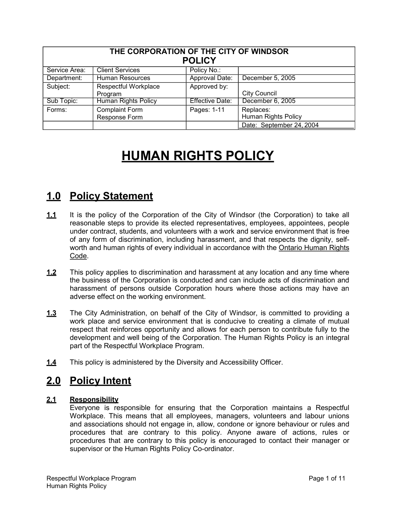| THE CORPORATION OF THE CITY OF WINDSOR<br><b>POLICY</b> |                            |                        |                            |  |
|---------------------------------------------------------|----------------------------|------------------------|----------------------------|--|
| Service Area:                                           | <b>Client Services</b>     | Policy No.:            |                            |  |
| Department:                                             | <b>Human Resources</b>     | Approval Date:         | December 5, 2005           |  |
| Subject:                                                | Respectful Workplace       | Approved by:           |                            |  |
|                                                         | Program                    |                        | <b>City Council</b>        |  |
| Sub Topic:                                              | <b>Human Rights Policy</b> | <b>Effective Date:</b> | December 6, 2005           |  |
| Forms:                                                  | <b>Complaint Form</b>      | Pages: 1-11            | Replaces:                  |  |
|                                                         | Response Form              |                        | <b>Human Rights Policy</b> |  |
|                                                         |                            |                        | Date: September 24, 2004   |  |

# **HUMAN RIGHTS POLICY**

# **1.0 Policy Statement**

- **1.1** It is the policy of the Corporation of the City of Windsor (the Corporation) to take all reasonable steps to provide its elected representatives, employees, appointees, people under contract, students, and volunteers with a work and service environment that is free of any form of discrimination, including harassment, and that respects the dignity, selfworth and human rights of every individual in accordance with the Ontario Human Rights Code.
- **1.2** This policy applies to discrimination and harassment at any location and any time where the business of the Corporation is conducted and can include acts of discrimination and harassment of persons outside Corporation hours where those actions may have an adverse effect on the working environment.
- **1.3** The City Administration, on behalf of the City of Windsor, is committed to providing a work place and service environment that is conducive to creating a climate of mutual respect that reinforces opportunity and allows for each person to contribute fully to the development and well being of the Corporation. The Human Rights Policy is an integral part of the Respectful Workplace Program.
- **1.4** This policy is administered by the Diversity and Accessibility Officer.

# **2.0 Policy Intent**

### **2.1 Responsibility**

Everyone is responsible for ensuring that the Corporation maintains a Respectful Workplace. This means that all employees, managers, volunteers and labour unions and associations should not engage in, allow, condone or ignore behaviour or rules and procedures that are contrary to this policy. Anyone aware of actions, rules or procedures that are contrary to this policy is encouraged to contact their manager or supervisor or the Human Rights Policy Co-ordinator.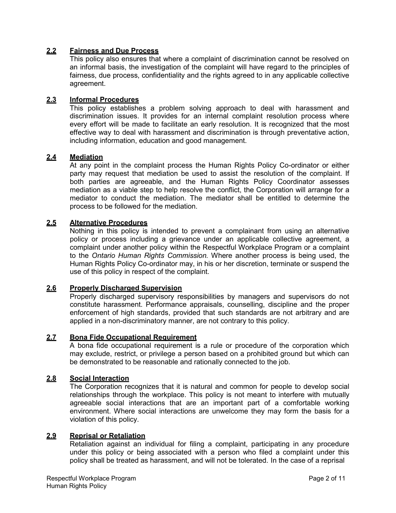#### **2.2 Fairness and Due Process**

This policy also ensures that where a complaint of discrimination cannot be resolved on an informal basis, the investigation of the complaint will have regard to the principles of fairness, due process, confidentiality and the rights agreed to in any applicable collective agreement.

### **2.3 Informal Procedures**

This policy establishes a problem solving approach to deal with harassment and discrimination issues. It provides for an internal complaint resolution process where every effort will be made to facilitate an early resolution. It is recognized that the most effective way to deal with harassment and discrimination is through preventative action, including information, education and good management.

#### **2.4 Mediation**

At any point in the complaint process the Human Rights Policy Co-ordinator or either party may request that mediation be used to assist the resolution of the complaint. If both parties are agreeable, and the Human Rights Policy Coordinator assesses mediation as a viable step to help resolve the conflict, the Corporation will arrange for a mediator to conduct the mediation. The mediator shall be entitled to determine the process to be followed for the mediation.

#### **2.5 Alternative Procedures**

Nothing in this policy is intended to prevent a complainant from using an alternative policy or process including a grievance under an applicable collective agreement, a complaint under another policy within the Respectful Workplace Program or a complaint to the *Ontario Human Rights Commission.* Where another process is being used, the Human Rights Policy Co-ordinator may, in his or her discretion, terminate or suspend the use of this policy in respect of the complaint.

#### **2.6 Properly Discharged Supervision**

Properly discharged supervisory responsibilities by managers and supervisors do not constitute harassment. Performance appraisals, counselling, discipline and the proper enforcement of high standards, provided that such standards are not arbitrary and are applied in a non-discriminatory manner, are not contrary to this policy.

#### **2.7 Bona Fide Occupational Requirement**

A bona fide occupational requirement is a rule or procedure of the corporation which may exclude, restrict, or privilege a person based on a prohibited ground but which can be demonstrated to be reasonable and rationally connected to the job.

#### **2.8 Social Interaction**

The Corporation recognizes that it is natural and common for people to develop social relationships through the workplace. This policy is not meant to interfere with mutually agreeable social interactions that are an important part of a comfortable working environment. Where social interactions are unwelcome they may form the basis for a violation of this policy.

#### **2.9 Reprisal or Retaliation**

Retaliation against an individual for filing a complaint, participating in any procedure under this policy or being associated with a person who filed a complaint under this policy shall be treated as harassment, and will not be tolerated. In the case of a reprisal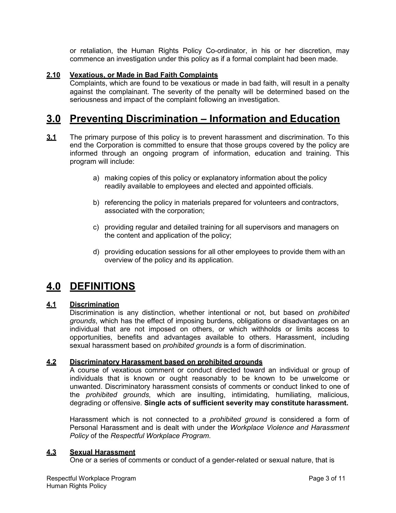or retaliation, the Human Rights Policy Co-ordinator, in his or her discretion, may commence an investigation under this policy as if a formal complaint had been made.

### **2.10 Vexatious, or Made in Bad Faith Complaints**

Complaints, which are found to be vexatious or made in bad faith, will result in a penalty against the complainant. The severity of the penalty will be determined based on the seriousness and impact of the complaint following an investigation.

# **3.0 Preventing Discrimination – Information and Education**

- **3.1** The primary purpose of this policy is to prevent harassment and discrimination. To this end the Corporation is committed to ensure that those groups covered by the policy are informed through an ongoing program of information, education and training. This program will include:
	- a) making copies of this policy or explanatory information about the policy readily available to employees and elected and appointed officials.
	- b) referencing the policy in materials prepared for volunteers and contractors, associated with the corporation;
	- c) providing regular and detailed training for all supervisors and managers on the content and application of the policy;
	- d) providing education sessions for all other employees to provide them with an overview of the policy and its application.

# **4.0 DEFINITIONS**

#### **4.1 Discrimination**

Discrimination is any distinction, whether intentional or not, but based on *prohibited grounds*, which has the effect of imposing burdens, obligations or disadvantages on an individual that are not imposed on others, or which withholds or limits access to opportunities, benefits and advantages available to others. Harassment, including sexual harassment based on *prohibited grounds* is a form of discrimination.

#### **4.2 Discriminatory Harassment based on prohibited grounds**

A course of vexatious comment or conduct directed toward an individual or group of individuals that is known or ought reasonably to be known to be unwelcome or unwanted. Discriminatory harassment consists of comments or conduct linked to one of the *prohibited grounds*, which are insulting, intimidating, humiliating, malicious, degrading or offensive. **Single acts of sufficient severity may constitute harassment.**

Harassment which is not connected to a *prohibited ground* is considered a form of Personal Harassment and is dealt with under the *Workplace Violence and Harassment Policy* of the *Respectful Workplace Program*.

#### **4.3 Sexual Harassment**

One or a series of comments or conduct of a gender-related or sexual nature, that is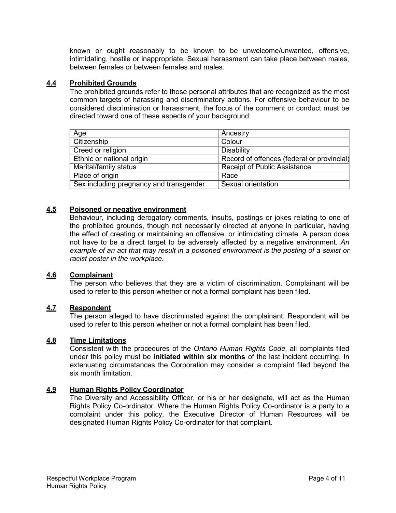known or ought reasonably to be known to be unwelcome/unwanted, offensive, intimidating, hostile or inappropriate. Sexual harassment can take place between males, between females or between females and males.

### **4.4 Prohibited Grounds**

The prohibited grounds refer to those personal attributes that are recognized as the most common targets of harassing and discriminatory actions. For offensive behaviour to be considered discrimination or harassment, the focus of the comment or conduct must be directed toward one of these aspects of your background:

| Age                                     | Ancestry                                   |  |
|-----------------------------------------|--------------------------------------------|--|
| Citizenship                             | Colour                                     |  |
| Creed or religion                       | <b>Disability</b>                          |  |
| Ethnic or national origin               | Record of offences (federal or provincial) |  |
| Marital/family status                   | <b>Receipt of Public Assistance</b>        |  |
| Place of origin                         | Race                                       |  |
| Sex including pregnancy and transgender | Sexual orientation                         |  |

### **4.5 Poisoned or negative environment**

Behaviour, including derogatory comments, insults, postings or jokes relating to one of the prohibited grounds, though not necessarily directed at anyone in particular, having the effect of creating or maintaining an offensive, or intimidating climate. A person does not have to be a direct target to be adversely affected by a negative environment. *An*  example of an act that may result in a poisoned environment is the posting of a sexist or *racist poster in the workplace.*

#### **4.6 Complainant**

The person who believes that they are a victim of discrimination. Complainant will be used to refer to this person whether or not a formal complaint has been filed.

### **4.7 Respondent**

The person alleged to have discriminated against the complainant. Respondent will be used to refer to this person whether or not a formal complaint has been filed.

#### **4.8 Time Limitations**

Consistent with the procedures of the *Ontario Human Rights Code*, all complaints filed under this policy must be **initiated within six months** of the last incident occurring. In extenuating circumstances the Corporation may consider a complaint filed beyond the six month limitation.

#### **4.9 Human Rights Policy Coordinator**

The Diversity and Accessibility Officer, or his or her designate, will act as the Human Rights Policy Co-ordinator. Where the Human Rights Policy Co-ordinator is a party to a complaint under this policy, the Executive Director of Human Resources will be designated Human Rights Policy Co-ordinator for that complaint.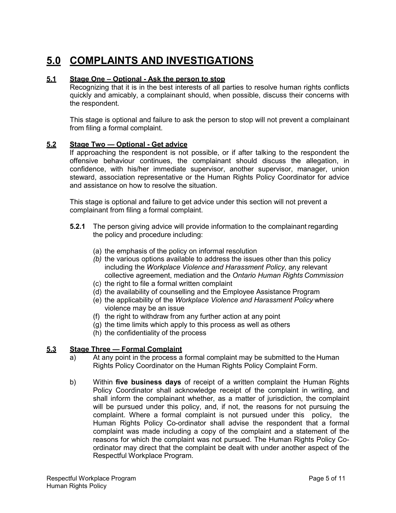# **5.0 COMPLAINTS AND INVESTIGATIONS**

#### **5.1 Stage One – Optional - Ask the person to stop**

Recognizing that it is in the best interests of all parties to resolve human rights conflicts quickly and amicably, a complainant should, when possible, discuss their concerns with the respondent.

This stage is optional and failure to ask the person to stop will not prevent a complainant from filing a formal complaint.

#### **5.2 Stage Two — Optional - Get advice**

If approaching the respondent is not possible, or if after talking to the respondent the offensive behaviour continues, the complainant should discuss the allegation, in confidence, with his/her immediate supervisor, another supervisor, manager, union steward, association representative or the Human Rights Policy Coordinator for advice and assistance on how to resolve the situation.

This stage is optional and failure to get advice under this section will not prevent a complainant from filing a formal complaint.

- **5.2.1** The person giving advice will provide information to the complainant regarding the policy and procedure including:
	- (a) the emphasis of the policy on informal resolution
	- *(b)* the various options available to address the issues other than this policy including the *Workplace Violence and Harassment Policy,* any relevant collective agreement, mediation and the *Ontario Human Rights Commission*
	- (c) the right to file a formal written complaint
	- (d) the availability of counselling and the Employee Assistance Program
	- (e) the applicability of the *Workplace Violence and Harassment Policy* where violence may be an issue
	- (f) the right to withdraw from any further action at any point
	- (g) the time limits which apply to this process as well as others
	- (h) the confidentiality of the process

#### **5.3 Stage Three — Formal Complaint**

- a) At any point in the process a formal complaint may be submitted to the Human Rights Policy Coordinator on the Human Rights Policy Complaint Form.
- b) Within **five business days** of receipt of a written complaint the Human Rights Policy Coordinator shall acknowledge receipt of the complaint in writing, and shall inform the complainant whether, as a matter of jurisdiction, the complaint will be pursued under this policy, and, if not, the reasons for not pursuing the complaint. Where a formal complaint is not pursued under this policy, the Human Rights Policy Co-ordinator shall advise the respondent that a formal complaint was made including a copy of the complaint and a statement of the reasons for which the complaint was not pursued. The Human Rights Policy Coordinator may direct that the complaint be dealt with under another aspect of the Respectful Workplace Program.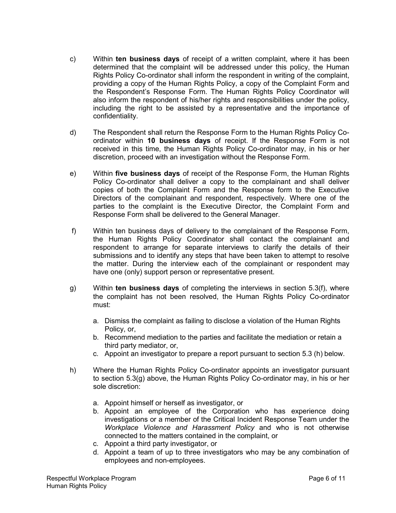- c) Within **ten business days** of receipt of a written complaint, where it has been determined that the complaint will be addressed under this policy, the Human Rights Policy Co-ordinator shall inform the respondent in writing of the complaint, providing a copy of the Human Rights Policy, a copy of the Complaint Form and the Respondent's Response Form. The Human Rights Policy Coordinator will also inform the respondent of his/her rights and responsibilities under the policy, including the right to be assisted by a representative and the importance of confidentiality.
- d) The Respondent shall return the Response Form to the Human Rights Policy Coordinator within **10 business days** of receipt. If the Response Form is not received in this time, the Human Rights Policy Co-ordinator may, in his or her discretion, proceed with an investigation without the Response Form.
- e) Within **five business days** of receipt of the Response Form, the Human Rights Policy Co-ordinator shall deliver a copy to the complainant and shall deliver copies of both the Complaint Form and the Response form to the Executive Directors of the complainant and respondent, respectively. Where one of the parties to the complaint is the Executive Director, the Complaint Form and Response Form shall be delivered to the General Manager.
- f) Within ten business days of delivery to the complainant of the Response Form, the Human Rights Policy Coordinator shall contact the complainant and respondent to arrange for separate interviews to clarify the details of their submissions and to identify any steps that have been taken to attempt to resolve the matter. During the interview each of the complainant or respondent may have one (only) support person or representative present.
- g) Within **ten business days** of completing the interviews in section 5.3(f), where the complaint has not been resolved, the Human Rights Policy Co-ordinator must:
	- a. Dismiss the complaint as failing to disclose a violation of the Human Rights Policy, or,
	- b. Recommend mediation to the parties and facilitate the mediation or retain a third party mediator, or,
	- c. Appoint an investigator to prepare a report pursuant to section 5.3 (h) below.
- h) Where the Human Rights Policy Co-ordinator appoints an investigator pursuant to section 5.3(g) above, the Human Rights Policy Co-ordinator may, in his or her sole discretion:
	- a. Appoint himself or herself as investigator, or
	- b. Appoint an employee of the Corporation who has experience doing investigations or a member of the Critical Incident Response Team under the *Workplace Violence and Harassment Policy* and who is not otherwise connected to the matters contained in the complaint, or
	- c. Appoint a third party investigator, or
	- d. Appoint a team of up to three investigators who may be any combination of employees and non-employees.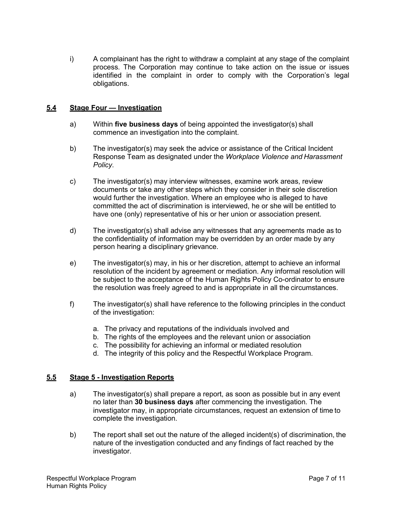i) A complainant has the right to withdraw a complaint at any stage of the complaint process. The Corporation may continue to take action on the issue or issues identified in the complaint in order to comply with the Corporation's legal obligations.

#### **5.4 Stage Four — Investigation**

- a) Within **five business days** of being appointed the investigator(s) shall commence an investigation into the complaint.
- b) The investigator(s) may seek the advice or assistance of the Critical Incident Response Team as designated under the *Workplace Violence and Harassment Policy*.
- c) The investigator(s) may interview witnesses, examine work areas, review documents or take any other steps which they consider in their sole discretion would further the investigation. Where an employee who is alleged to have committed the act of discrimination is interviewed, he or she will be entitled to have one (only) representative of his or her union or association present.
- d) The investigator(s) shall advise any witnesses that any agreements made as to the confidentiality of information may be overridden by an order made by any person hearing a disciplinary grievance.
- e) The investigator(s) may, in his or her discretion, attempt to achieve an informal resolution of the incident by agreement or mediation. Any informal resolution will be subject to the acceptance of the Human Rights Policy Co-ordinator to ensure the resolution was freely agreed to and is appropriate in all the circumstances.
- f) The investigator(s) shall have reference to the following principles in the conduct of the investigation:
	- a. The privacy and reputations of the individuals involved and
	- b. The rights of the employees and the relevant union or association
	- c. The possibility for achieving an informal or mediated resolution
	- d. The integrity of this policy and the Respectful Workplace Program.

#### **5.5 Stage 5 - Investigation Reports**

- a) The investigator(s) shall prepare a report, as soon as possible but in any event no later than **30 business days** after commencing the investigation. The investigator may, in appropriate circumstances, request an extension of time to complete the investigation.
- b) The report shall set out the nature of the alleged incident(s) of discrimination, the nature of the investigation conducted and any findings of fact reached by the investigator.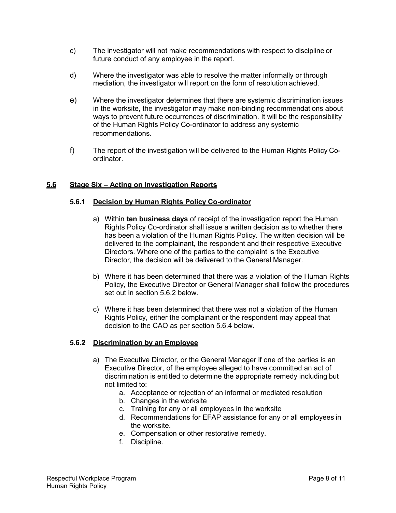- c) The investigator will not make recommendations with respect to discipline or future conduct of any employee in the report.
- d) Where the investigator was able to resolve the matter informally or through mediation, the investigator will report on the form of resolution achieved.
- e) Where the investigator determines that there are systemic discrimination issues in the worksite, the investigator may make non-binding recommendations about ways to prevent future occurrences of discrimination. It will be the responsibility of the Human Rights Policy Co-ordinator to address any systemic recommendations.
- f) The report of the investigation will be delivered to the Human Rights Policy Coordinator.

#### **5.6 Stage Six – Acting on Investigation Reports**

#### **5.6.1 Decision by Human Rights Policy Co-ordinator**

- a) Within **ten business days** of receipt of the investigation report the Human Rights Policy Co-ordinator shall issue a written decision as to whether there has been a violation of the Human Rights Policy. The written decision will be delivered to the complainant, the respondent and their respective Executive Directors. Where one of the parties to the complaint is the Executive Director, the decision will be delivered to the General Manager.
- b) Where it has been determined that there was a violation of the Human Rights Policy, the Executive Director or General Manager shall follow the procedures set out in section 5.6.2 below.
- c) Where it has been determined that there was not a violation of the Human Rights Policy, either the complainant or the respondent may appeal that decision to the CAO as per section 5.6.4 below.

#### **5.6.2 Discrimination by an Employee**

- a) The Executive Director, or the General Manager if one of the parties is an Executive Director, of the employee alleged to have committed an act of discrimination is entitled to determine the appropriate remedy including but not limited to:
	- a. Acceptance or rejection of an informal or mediated resolution
	- b. Changes in the worksite
	- c. Training for any or all employees in the worksite
	- d. Recommendations for EFAP assistance for any or all employees in the worksite.
	- e. Compensation or other restorative remedy.
	- f. Discipline.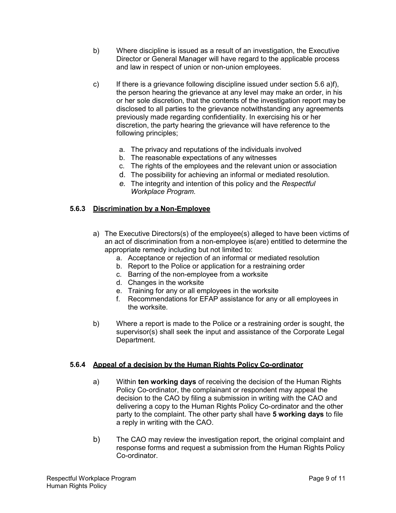- b) Where discipline is issued as a result of an investigation, the Executive Director or General Manager will have regard to the applicable process and law in respect of union or non-union employees.
- c) If there is a grievance following discipline issued under section 5.6 a)f), the person hearing the grievance at any level may make an order, in his or her sole discretion, that the contents of the investigation report may be disclosed to all parties to the grievance notwithstanding any agreements previously made regarding confidentiality. In exercising his or her discretion, the party hearing the grievance will have reference to the following principles;
	- a. The privacy and reputations of the individuals involved
	- b. The reasonable expectations of any witnesses
	- c. The rights of the employees and the relevant union or association
	- d. The possibility for achieving an informal or mediated resolution.
	- *e.* The integrity and intention of this policy and the *Respectful Workplace Program.*

### **5.6.3 Discrimination by a Non-Employee**

- a) The Executive Directors(s) of the employee(s) alleged to have been victims of an act of discrimination from a non-employee is(are) entitled to determine the appropriate remedy including but not limited to:
	- a. Acceptance or rejection of an informal or mediated resolution
	- b. Report to the Police or application for a restraining order
	- c. Barring of the non-employee from a worksite
	- d. Changes in the worksite
	- e. Training for any or all employees in the worksite
	- f. Recommendations for EFAP assistance for any or all employees in the worksite.
- b) Where a report is made to the Police or a restraining order is sought, the supervisor(s) shall seek the input and assistance of the Corporate Legal Department.

#### **5.6.4 Appeal of a decision by the Human Rights Policy Co-ordinator**

- a) Within **ten working days** of receiving the decision of the Human Rights Policy Co-ordinator, the complainant or respondent may appeal the decision to the CAO by filing a submission in writing with the CAO and delivering a copy to the Human Rights Policy Co-ordinator and the other party to the complaint. The other party shall have **5 working days** to file a reply in writing with the CAO.
- b) The CAO may review the investigation report, the original complaint and response forms and request a submission from the Human Rights Policy Co-ordinator.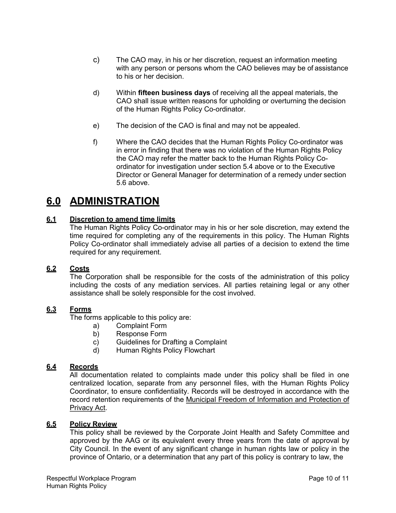- c) The CAO may, in his or her discretion, request an information meeting with any person or persons whom the CAO believes may be of assistance to his or her decision.
- d) Within **fifteen business days** of receiving all the appeal materials, the CAO shall issue written reasons for upholding or overturning the decision of the Human Rights Policy Co-ordinator.
- e) The decision of the CAO is final and may not be appealed.
- f) Where the CAO decides that the Human Rights Policy Co-ordinator was in error in finding that there was no violation of the Human Rights Policy the CAO may refer the matter back to the Human Rights Policy Coordinator for investigation under section 5.4 above or to the Executive Director or General Manager for determination of a remedy under section 5.6 above.

# **6.0 ADMINISTRATION**

### **6.1 Discretion to amend time limits**

The Human Rights Policy Co-ordinator may in his or her sole discretion, may extend the time required for completing any of the requirements in this policy. The Human Rights Policy Co-ordinator shall immediately advise all parties of a decision to extend the time required for any requirement.

#### **6.2 Costs**

The Corporation shall be responsible for the costs of the administration of this policy including the costs of any mediation services. All parties retaining legal or any other assistance shall be solely responsible for the cost involved.

#### **6.3 Forms**

The forms applicable to this policy are:

- a) Complaint Form
- b) Response Form
- c) Guidelines for Drafting a Complaint
- d) Human Rights Policy Flowchart

#### **6.4 Records**

All documentation related to complaints made under this policy shall be filed in one centralized location, separate from any personnel files, with the Human Rights Policy Coordinator, to ensure confidentiality. Records will be destroyed in accordance with the record retention requirements of the Municipal Freedom of Information and Protection of Privacy Act.

#### **6.5 Policy Review**

This policy shall be reviewed by the Corporate Joint Health and Safety Committee and approved by the AAG or its equivalent every three years from the date of approval by City Council. In the event of any significant change in human rights law or policy in the province of Ontario, or a determination that any part of this policy is contrary to law, the